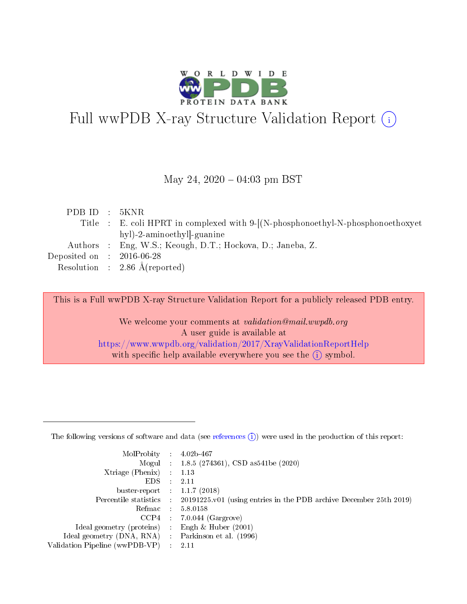

# Full wwPDB X-ray Structure Validation Report (i)

#### May 24,  $2020 - 04:03$  pm BST

| PDBID : 5KNR                |                                                                                 |
|-----------------------------|---------------------------------------------------------------------------------|
|                             | Title : E. coli HPRT in complexed with 9-[(N-phosphonoethyl-N-phosphonoethoxyet |
|                             | hyl)-2-aminoethyl]-guanine                                                      |
|                             | Authors : Eng, W.S.; Keough, D.T.; Hockova, D.; Janeba, Z.                      |
| Deposited on : $2016-06-28$ |                                                                                 |
|                             | Resolution : 2.86 $\AA$ (reported)                                              |
|                             |                                                                                 |

This is a Full wwPDB X-ray Structure Validation Report for a publicly released PDB entry.

We welcome your comments at validation@mail.wwpdb.org A user guide is available at <https://www.wwpdb.org/validation/2017/XrayValidationReportHelp> with specific help available everywhere you see the  $(i)$  symbol.

The following versions of software and data (see [references](https://www.wwpdb.org/validation/2017/XrayValidationReportHelp#references)  $(1)$ ) were used in the production of this report:

| $MolProbability$ 4.02b-467                        |                             |                                                                                            |
|---------------------------------------------------|-----------------------------|--------------------------------------------------------------------------------------------|
|                                                   |                             | Mogul : $1.8.5$ (274361), CSD as 541be (2020)                                              |
| $X$ triage (Phenix) :                             |                             | 1.13                                                                                       |
| EDS –                                             | $\mathcal{L}^{\mathcal{L}}$ | 2.11                                                                                       |
| buster-report : $1.1.7$ (2018)                    |                             |                                                                                            |
|                                                   |                             | Percentile statistics : 20191225.v01 (using entries in the PDB archive December 25th 2019) |
|                                                   |                             | Refmac $5.8.0158$                                                                          |
|                                                   |                             | $CCP4$ 7.0.044 (Gargrove)                                                                  |
| Ideal geometry (proteins) :                       |                             | Engh $\&$ Huber (2001)                                                                     |
| Ideal geometry (DNA, RNA) Parkinson et al. (1996) |                             |                                                                                            |
| Validation Pipeline (wwPDB-VP) : 2.11             |                             |                                                                                            |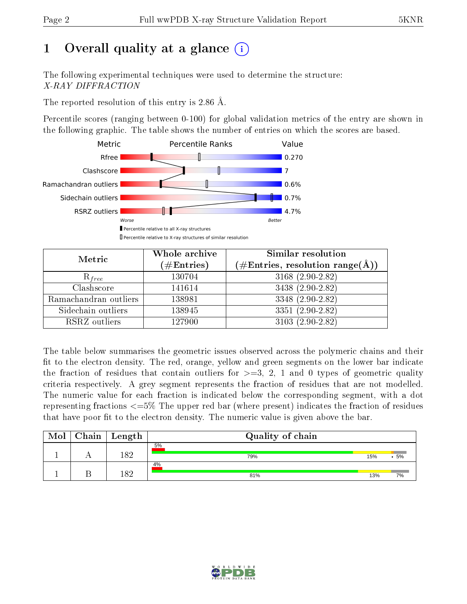## 1 [O](https://www.wwpdb.org/validation/2017/XrayValidationReportHelp#overall_quality)verall quality at a glance  $(i)$

The following experimental techniques were used to determine the structure: X-RAY DIFFRACTION

The reported resolution of this entry is 2.86 Å.

Percentile scores (ranging between 0-100) for global validation metrics of the entry are shown in the following graphic. The table shows the number of entries on which the scores are based.



| Metric                | Whole archive<br>$(\#\text{Entries})$ | <b>Similar resolution</b><br>$(\#\text{Entries},\,\text{resolution}\,\,\text{range}(\textup{\AA}))$ |  |  |
|-----------------------|---------------------------------------|-----------------------------------------------------------------------------------------------------|--|--|
| $R_{free}$            | 130704                                | 3168 $(2.90-2.82)$                                                                                  |  |  |
| Clashscore            | 141614                                | 3438 (2.90-2.82)                                                                                    |  |  |
| Ramachandran outliers | 138981                                | $3348(2.90-2.82)$                                                                                   |  |  |
| Sidechain outliers    | 138945                                | 3351 (2.90-2.82)                                                                                    |  |  |
| RSRZ outliers         | 127900                                | $3103(2.90-2.82)$                                                                                   |  |  |

The table below summarises the geometric issues observed across the polymeric chains and their fit to the electron density. The red, orange, yellow and green segments on the lower bar indicate the fraction of residues that contain outliers for  $>=3, 2, 1$  and 0 types of geometric quality criteria respectively. A grey segment represents the fraction of residues that are not modelled. The numeric value for each fraction is indicated below the corresponding segment, with a dot representing fractions  $\epsilon=5\%$  The upper red bar (where present) indicates the fraction of residues that have poor fit to the electron density. The numeric value is given above the bar.

| Mol | $Chain \  Length$ | Quality of chain |     |    |
|-----|-------------------|------------------|-----|----|
|     | 10 ດ              | 5%<br>79%        | 15% | 5% |
|     |                   | 4%               |     |    |
|     | l റ റ             | 81%              | 13% | 7% |

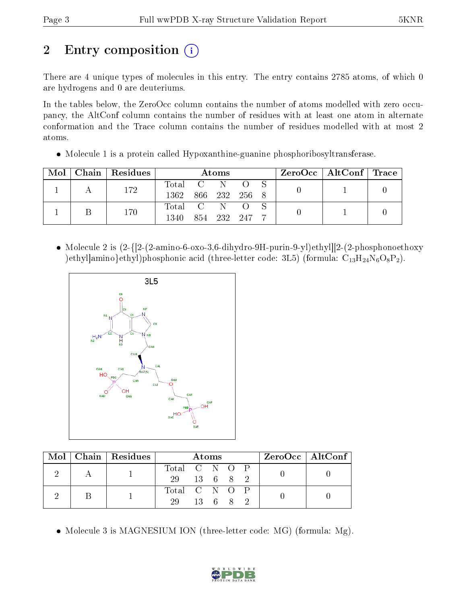# 2 Entry composition  $\left( \cdot \right)$

There are 4 unique types of molecules in this entry. The entry contains 2785 atoms, of which 0 are hydrogens and 0 are deuteriums.

In the tables below, the ZeroOcc column contains the number of atoms modelled with zero occupancy, the AltConf column contains the number of residues with at least one atom in alternate conformation and the Trace column contains the number of residues modelled with at most 2 atoms.

• Molecule 1 is a protein called Hypoxanthine-guanine phosphoribosyltransferase.

|  | Mol   Chain   Residues | Atoms              |  |             |  |  | ZeroOcc   AltConf   Trace |  |
|--|------------------------|--------------------|--|-------------|--|--|---------------------------|--|
|  | 172                    | Total C N          |  |             |  |  |                           |  |
|  |                        | 1362 866 232 256 8 |  |             |  |  |                           |  |
|  | 170                    | Total C N O        |  |             |  |  |                           |  |
|  |                        | 1340               |  | 854 232 247 |  |  |                           |  |

• Molecule 2 is  $(2-\{2-\text{amino-6-oxo-3}, 6-\text{dihydro-9H-purin-9-yl}\})$ ethyl $[2-(2-\text{phosphonoethoxy}$ )ethyl]amino}ethyl)phosphonic acid (three-letter code: 3L5) (formula:  $C_{13}H_{24}N_6O_8P_2$ ).



|  | Mol   Chain   Residues | Atoms         |  |        | ZeroOcc   AltConf |  |
|--|------------------------|---------------|--|--------|-------------------|--|
|  |                        | Total C N O P |  |        |                   |  |
|  |                        | 29 13 6 8 2   |  |        |                   |  |
|  |                        | Total C N O P |  |        |                   |  |
|  |                        | 29            |  | 13 6 8 |                   |  |

• Molecule 3 is MAGNESIUM ION (three-letter code: MG) (formula: Mg).

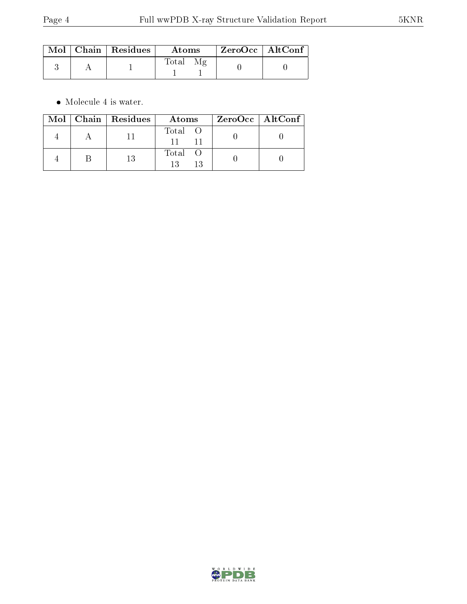|  | $\blacksquare$ Mol $\parallel$ Chain $\parallel$ Residues $\parallel$ | Atoms. | $\mid$ ZeroOcc $\mid$ AltConf $\mid$ |  |
|--|-----------------------------------------------------------------------|--------|--------------------------------------|--|
|  |                                                                       | Total  |                                      |  |

 $\bullet\,$  Molecule 4 is water.

|  | $\text{Mol}$   Chain   Residues | Atoms   | ZeroOcc   AltConf |  |
|--|---------------------------------|---------|-------------------|--|
|  |                                 | Total O |                   |  |
|  | 13                              | Total O |                   |  |

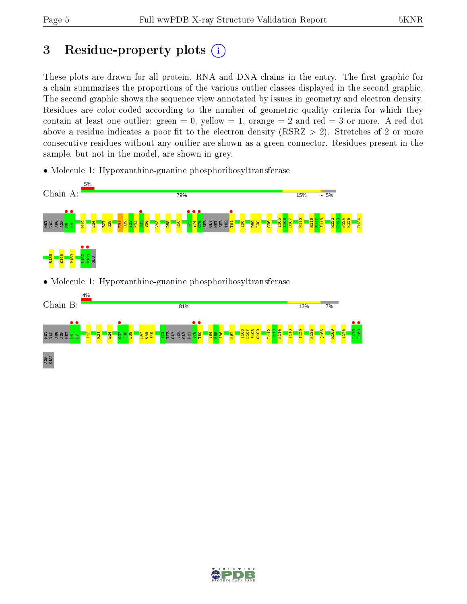## 3 Residue-property plots  $(i)$

These plots are drawn for all protein, RNA and DNA chains in the entry. The first graphic for a chain summarises the proportions of the various outlier classes displayed in the second graphic. The second graphic shows the sequence view annotated by issues in geometry and electron density. Residues are color-coded according to the number of geometric quality criteria for which they contain at least one outlier: green  $= 0$ , yellow  $= 1$ , orange  $= 2$  and red  $= 3$  or more. A red dot above a residue indicates a poor fit to the electron density (RSRZ  $> 2$ ). Stretches of 2 or more consecutive residues without any outlier are shown as a green connector. Residues present in the sample, but not in the model, are shown in grey.

• Molecule 1: Hypoxanthine-guanine phosphoribosyltransferase



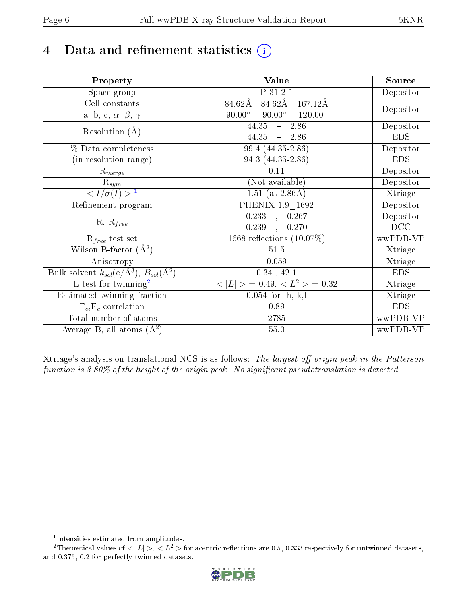## 4 Data and refinement statistics  $(i)$

| Property                                                             | Value                                            | Source     |
|----------------------------------------------------------------------|--------------------------------------------------|------------|
| Space group                                                          | P 31 2 1                                         | Depositor  |
| Cell constants                                                       | 84.62Å<br>$\overline{167.12A}$<br>$84.62\rm\AA$  |            |
| a, b, c, $\alpha$ , $\beta$ , $\gamma$                               | $90.00^\circ$<br>$120.00^\circ$<br>$90.00^\circ$ | Depositor  |
| Resolution $(A)$                                                     | 44.35<br>$-2.86$                                 | Depositor  |
|                                                                      | $44.35 - 2.86$                                   | <b>EDS</b> |
| % Data completeness                                                  | 99.4 (44.35-2.86)                                | Depositor  |
| (in resolution range)                                                | 94.3 (44.35-2.86)                                | <b>EDS</b> |
| $\mathrm{R}_{merge}$                                                 | 0.11                                             | Depositor  |
| $\mathrm{R}_{sym}$                                                   | (Not available)                                  | Depositor  |
| $\langle I/\sigma(I) \rangle^{-1}$                                   | $\overline{1.51}$ (at 2.86Å)                     | Xtriage    |
| Refinement program                                                   | PHENIX 1.9 1692                                  | Depositor  |
|                                                                      | $\overline{0.233}$ ,<br>0.267                    | Depositor  |
| $R, R_{free}$                                                        | 0.239<br>0.270<br>$\mathcal{L}$                  | DCC        |
| $R_{free}$ test set                                                  | 1668 reflections $(10.07\%)$                     | wwPDB-VP   |
| Wilson B-factor $(A^2)$                                              | 51.5                                             | Xtriage    |
| Anisotropy                                                           | 0.059                                            | Xtriage    |
| Bulk solvent $k_{sol}(e/\mathring{A}^3)$ , $B_{sol}(\mathring{A}^2)$ | $0.34$ , $42.1$                                  | <b>EDS</b> |
| $\overline{L-test for}$ twinning <sup>2</sup>                        | $< L >$ = 0.49, $< L^2 >$ = 0.32                 | Xtriage    |
| Estimated twinning fraction                                          | $0.054$ for $-h,-k,l$                            | Xtriage    |
| $F_o, F_c$ correlation                                               | 0.89                                             | <b>EDS</b> |
| Total number of atoms                                                | 2785                                             | wwPDB-VP   |
| Average B, all atoms $(A^2)$                                         | 55.0                                             | wwPDB-VP   |

Xtriage's analysis on translational NCS is as follows: The largest off-origin peak in the Patterson function is  $3.80\%$  of the height of the origin peak. No significant pseudotranslation is detected.

<sup>&</sup>lt;sup>2</sup>Theoretical values of  $\langle |L| \rangle$ ,  $\langle L^2 \rangle$  for acentric reflections are 0.5, 0.333 respectively for untwinned datasets, and 0.375, 0.2 for perfectly twinned datasets.



<span id="page-5-1"></span><span id="page-5-0"></span><sup>1</sup> Intensities estimated from amplitudes.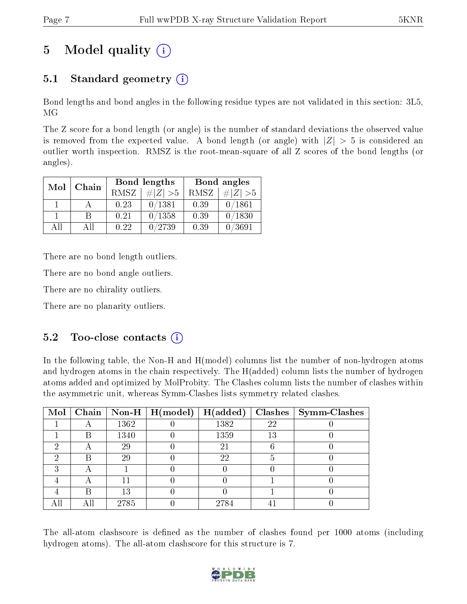# 5 Model quality  $(i)$

### 5.1 Standard geometry  $(i)$

Bond lengths and bond angles in the following residue types are not validated in this section: 3L5, MG

The Z score for a bond length (or angle) is the number of standard deviations the observed value is removed from the expected value. A bond length (or angle) with  $|Z| > 5$  is considered an outlier worth inspection. RMSZ is the root-mean-square of all Z scores of the bond lengths (or angles).

| Mol | Chain |      | <b>Bond lengths</b> | Bond angles |             |  |
|-----|-------|------|---------------------|-------------|-------------|--|
|     |       | RMSZ | $\# Z  > 5$         | RMSZ        | $\ Z\  > 5$ |  |
|     |       | 0.23 | 0/1381              | 0.39        | 0/1861      |  |
|     | R     | 0.21 | 0/1358              | 0.39        | 0/1830      |  |
| АH  | АĦ    | 0.22 | 0/2739              | 0.39        | 0/3691      |  |

There are no bond length outliers.

There are no bond angle outliers.

There are no chirality outliers.

There are no planarity outliers.

### $5.2$  Too-close contacts  $(i)$

In the following table, the Non-H and H(model) columns list the number of non-hydrogen atoms and hydrogen atoms in the chain respectively. The H(added) column lists the number of hydrogen atoms added and optimized by MolProbity. The Clashes column lists the number of clashes within the asymmetric unit, whereas Symm-Clashes lists symmetry related clashes.

| Mol |   |      | $\boxed{\text{Chain} \mid \text{Non-H} \mid \text{H}(\text{model})}$ | H(added) |    | $Clashes$   Symm-Clashes |
|-----|---|------|----------------------------------------------------------------------|----------|----|--------------------------|
|     |   | 1362 |                                                                      | 1382     | 22 |                          |
|     | В | 1340 |                                                                      | 1359     | 13 |                          |
|     |   | 29   |                                                                      | 21       |    |                          |
|     | В | 29   |                                                                      | 22       | 5  |                          |
| ົ   |   |      |                                                                      |          |    |                          |
|     |   |      |                                                                      |          |    |                          |
|     | R | 13   |                                                                      |          |    |                          |
|     |   | 2785 |                                                                      | 2784     |    |                          |

The all-atom clashscore is defined as the number of clashes found per 1000 atoms (including hydrogen atoms). The all-atom clashscore for this structure is 7.

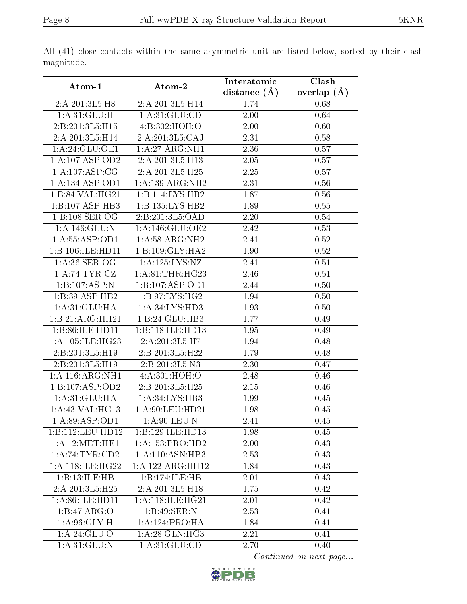| Atom-1                           | Atom-2                        | Interatomic    | Clash         |
|----------------------------------|-------------------------------|----------------|---------------|
|                                  |                               | distance $(A)$ | overlap $(A)$ |
| 2:A:201:3L5:H8                   | 2:A:201:3L5:H14               | 1.74           | 0.68          |
| 1: A:31: GLU:H                   | 1: A:31: GLU:CD               | 2.00           | 0.64          |
| 2:B:201:3L5:H15                  | 4:B:302:HOH:O                 | 2.00           | 0.60          |
| 2:A:201:3L5:H14                  | $2:A:\overline{201:3L5:CAJ}$  | 2.31           | 0.58          |
| 1: A:24: GLU:OE1                 | 1: A:27: ARG:NH1              | 2.36           | 0.57          |
| 1:A:107:ASP:OD2                  | 2:A:201:3L5:H13               | 2.05           | 0.57          |
| 1:A:107:ASP:CG                   | 2:A:201:3L5:H25               | 2.25           | 0.57          |
| 1:A:134:ASP:OD1                  | 1: A: 139: ARG: NH2           | 2.31           | 0.56          |
| 1:B:84:VAL:HG21                  | 1:B:114:LYS:HB2               | 1.87           | 0.56          |
| 1:B:107:ASP:HB3                  | 1:B:135:LYS:HB2               | 1.89           | 0.55          |
| 1:B:108:SER:OG                   | 2:B:201:3L5:OAD               | 2.20           | 0.54          |
| 1: A:146: GLU:N                  | 1:A:146:GLU:OE2               | 2.42           | 0.53          |
| 1: A: 55: ASP: OD1               | 1: A:58: ARG: NH2             | 2.41           | $0.52\,$      |
| 1:B:106:ILE:HD11                 | 1:B:109:GLY:HA2               | 1.90           | 0.52          |
| 1: A:36: SER:OG                  | 1: A: 125: LYS: NZ            | 2.41           | 0.51          |
| $1:A:\overline{74:TYR:CZ}$       | 1:A:81:THR:HG23               | 2.46           | 0.51          |
| 1:B:107:ASP:N                    | 1:B:107:ASP:OD1               | 2.44           | 0.50          |
| 1:B:39:ASP:HB2                   | 1:B:97:LYS:HG2                | 1.94           | 0.50          |
| 1: A:31: GLU: HA                 | 1: A:34: LYS: HD3             | 1.93           | 0.50          |
| 1:B:21:ARG:HH21                  | 1:B:24:GLU:HB3                | 1.77           | 0.49          |
| 1:B:86:ILE:HD11                  | 1:B:118:ILE:HD13              | 1.95           | 0.49          |
| 1: A:105: ILE: HG23              | 2:A:201:3L5:H7                | 1.94           | 0.48          |
| 2:B:201:3L5:H19                  | 2:B:201:3L5:H22               | 1.79           | 0.48          |
| 2:B:201:3L5:H19                  | 2:B:201:3L5:N3                | 2.30           | 0.47          |
| 1: A:116:ARG:NH1                 | 4:A:301:HOH:O                 | 2.48           | 0.46          |
| 1:B:107:ASP:OD2                  | 2:B:201:3L5:H25               | 2.15           | 0.46          |
| 1: A:31: GLU: HA                 | 1: A:34: LYS:HB3              | 1.99           | 0.45          |
| 1: A:43: VAL:HG13                | $1:A:90:LEU:HD$ <sup>21</sup> | 1.98           | 0.45          |
| 1:A:89:ASP:OD1                   | 1: A:90: LEU: N               | 2.41           | 0.45          |
| 1:B:112:LEU:HD12                 | 1:B:129:ILE:HD13              | 1.98           | 0.45          |
| 1:A:12:MET:HE1                   | 1: A: 153: PRO: HD2           | 2.00           | 0.43          |
| 1:A:74:TTR:CD2                   | 1:A:110:ASN:HB3               | 2.53           | 0.43          |
| 1: A:118: ILE: HG22              | 1:A:122:ARG:HH12              | 1.84           | 0.43          |
| 1:B:13:ILE:HB                    | 1:B:174:ILE:HB                | 2.01           | 0.43          |
| 2:A:201:3L5:H25                  | 2:A:201:3L5:H18               | 1.75           | 0.42          |
| 1: A:86: ILE: HD11               | 1:A:118:ILE:HG21              | 2.01           | 0.42          |
| 1:B:47:ARG:O                     | 1:B:49:SER:N                  | 2.53           | 0.41          |
| 1: A:96: GLY:H                   | 1: A: 124: PRO: HA            | 1.84           | 0.41          |
| 1: A:24: GLU:O                   | 1: A:28: GLN: HG3             | 2.21           | 0.41          |
| $1:A:31:\overline{\text{GLU:N}}$ | $1: A:31: \overline{GLU:CD}$  | 2.70           | 0.40          |

All (41) close contacts within the same asymmetric unit are listed below, sorted by their clash magnitude.

Continued on next page...

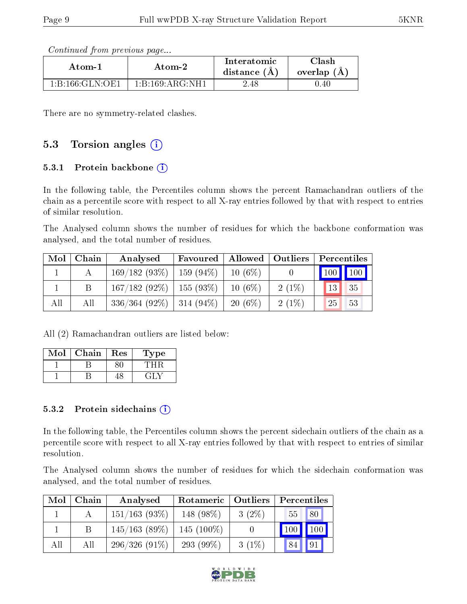Continued from previous page...

| Atom-1          | Atom-2          |          | <b>Clash</b><br>overlap (A) |  |
|-----------------|-----------------|----------|-----------------------------|--|
| 1:B:166:GLN:OE1 | 1:B:169:ARG:NH1 | $2.48\,$ | 0.40                        |  |

There are no symmetry-related clashes.

### 5.3 Torsion angles (i)

#### 5.3.1 Protein backbone  $(i)$

In the following table, the Percentiles column shows the percent Ramachandran outliers of the chain as a percentile score with respect to all X-ray entries followed by that with respect to entries of similar resolution.

The Analysed column shows the number of residues for which the backbone conformation was analysed, and the total number of residues.

| Mol | Chain | Analysed                      | Favoured    | Allowed   Outliers |          | Percentiles                     |
|-----|-------|-------------------------------|-------------|--------------------|----------|---------------------------------|
|     |       | 169/182(93%)                  | $159(94\%)$ | $10(6\%)$          |          | $\vert$ 100 $\vert$ 100 $\vert$ |
|     |       | $167/182(92\%)$   155 (93\%)  |             | $10(6\%)$          | $2(1\%)$ | 13<br>35                        |
| All | All   | $336/364$ (92\%)   314 (94\%) |             | $20(6\%)$          | $2(1\%)$ | 25<br>53                        |

All (2) Ramachandran outliers are listed below:

| Mol | Chain | Res | Type |
|-----|-------|-----|------|
|     |       |     |      |
|     |       |     |      |

#### 5.3.2 Protein sidechains  $\left( \mathbf{i} \right)$

In the following table, the Percentiles column shows the percent sidechain outliers of the chain as a percentile score with respect to all X-ray entries followed by that with respect to entries of similar resolution.

The Analysed column shows the number of residues for which the sidechain conformation was analysed, and the total number of residues.

| Mol | Chain | Analysed        | Rotameric   Outliers |          | Percentiles     |         |  |
|-----|-------|-----------------|----------------------|----------|-----------------|---------|--|
|     |       | $151/163(93\%)$ | 148 (98\%)           | $3(2\%)$ | 55              | 80      |  |
|     | B     | 145/163(89%)    | $145(100\%)$         |          | 100             | $100\,$ |  |
| All | All   | $296/326(91\%)$ | 293 (99\%)           | $3(1\%)$ | 84 <sub>1</sub> | 91      |  |

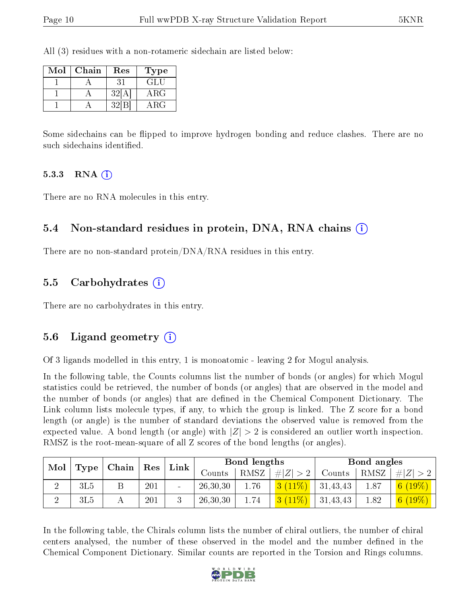All (3) residues with a non-rotameric sidechain are listed below:

| Mol | Chain | Res   | 'Type      |
|-----|-------|-------|------------|
|     |       |       | GLU        |
|     |       | 32[A] | $\rm{ARG}$ |
|     |       | 39    | ARG        |

Some sidechains can be flipped to improve hydrogen bonding and reduce clashes. There are no such sidechains identified.

#### 5.3.3 RNA  $(i)$

There are no RNA molecules in this entry.

#### 5.4 Non-standard residues in protein, DNA, RNA chains  $(i)$

There are no non-standard protein/DNA/RNA residues in this entry.

#### 5.5 Carbohydrates  $(i)$

There are no carbohydrates in this entry.

#### 5.6 Ligand geometry  $(i)$

Of 3 ligands modelled in this entry, 1 is monoatomic - leaving 2 for Mogul analysis.

In the following table, the Counts columns list the number of bonds (or angles) for which Mogul statistics could be retrieved, the number of bonds (or angles) that are observed in the model and the number of bonds (or angles) that are defined in the Chemical Component Dictionary. The Link column lists molecule types, if any, to which the group is linked. The Z score for a bond length (or angle) is the number of standard deviations the observed value is removed from the expected value. A bond length (or angle) with  $|Z| > 2$  is considered an outlier worth inspection. RMSZ is the root-mean-square of all Z scores of the bond lengths (or angles).

| Mol |      | $\mid$ Chain $\mid$ Res | Link |          | Bond lengths  |             |          | Bond angles |             |
|-----|------|-------------------------|------|----------|---------------|-------------|----------|-------------|-------------|
|     | Type |                         |      | Counts   | $'$ RMSZ $_1$ | # $ Z  > 2$ | Counts   | $^+$ RMSZ.  | # $ Z  > 2$ |
|     | 3L5  | 201                     |      | 26,30,30 | 1.76          | $3(11\%)$   | 31,43,43 | 1.87        | 6 $(19\%)$  |
|     | 3L5  | 201                     |      | 26,30,30 | 1.74          | $3(11\%)$   | 31,43,43 | 1.82        | 6 $(19\%)$  |

In the following table, the Chirals column lists the number of chiral outliers, the number of chiral centers analysed, the number of these observed in the model and the number defined in the Chemical Component Dictionary. Similar counts are reported in the Torsion and Rings columns.

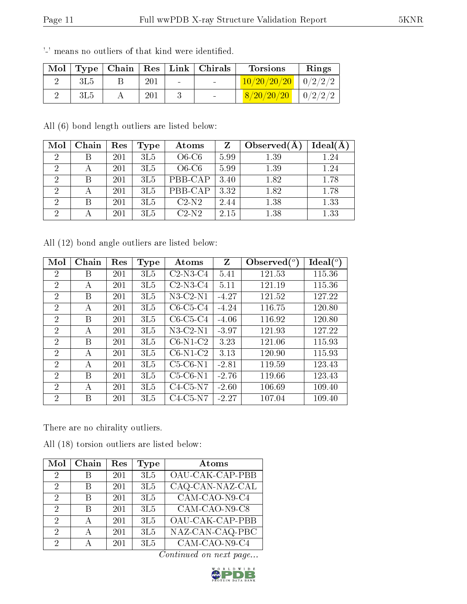| Mol |      |     |                 | Type   Chain   Res   Link   Christ | <b>Torsions</b>        | Rings   |
|-----|------|-----|-----------------|------------------------------------|------------------------|---------|
|     | 3L 5 | 201 | $\qquad \qquad$ |                                    | 10/20/20/20            | 0/2/2/2 |
|     | 3L5  | 201 |                 |                                    | $^{\prime}20$ / $20$ / | 0/2/2/  |

'-' means no outliers of that kind were identified.

All (6) bond length outliers are listed below:

| Mol            | Chain | Res | Type | Atoms   | Z    | Observed $(A$ | Ideal(A |
|----------------|-------|-----|------|---------|------|---------------|---------|
| $\overline{2}$ |       | 201 | 3L5  | $O6-C6$ | 5.99 | 1.39          | 1.24    |
| $\overline{2}$ | А     | 201 | 3L5  | $O6-C6$ | 5.99 | 1.39          | 1.24    |
| $\overline{2}$ |       | 201 | 3L5  | PBB-CAP | 3.40 | 1.82          | 1.78    |
| $\overline{2}$ | А     | 201 | 3L5  | PBB-CAP | 3.32 | 1.82          | 1.78    |
| $\overline{2}$ |       | 201 | 3L5  | $C2-N2$ | 2.44 | 1.38          | 1.33    |
| റ              |       | 201 | 3L5  | $C2-N2$ | 2.15 | 1.38          | 1.33    |

All (12) bond angle outliers are listed below:

| Mol            | Chain | Res | Type | Atoms          | Z       | Observed $(°)$ | $\text{Ideal}({}^o)$ |
|----------------|-------|-----|------|----------------|---------|----------------|----------------------|
| $\overline{2}$ | В     | 201 | 3L5  | $C2-N3-C4$     | 5.41    | 121.53         | 115.36               |
| $\overline{2}$ | А     | 201 | 3L5  | $C2-N3-C4$     | 5.11    | 121.19         | 115.36               |
| $\overline{2}$ | В     | 201 | 3L5  | $N3$ -C2- $N1$ | $-4.27$ | 121.52         | 127.22               |
| $\overline{2}$ | A     | 201 | 3L5  | $C6-C5-C4$     | $-4.24$ | 116.75         | 120.80               |
| $\overline{2}$ | В     | 201 | 3L5  | $C6-C5-C4$     | $-4.06$ | 116.92         | 120.80               |
| $\overline{2}$ | A     | 201 | 3L5  | $N3-C2-N1$     | $-3.97$ | 121.93         | 127.22               |
| 2              | В     | 201 | 3L5  | $C6-N1-C2$     | 3.23    | 121.06         | 115.93               |
| $\overline{2}$ | A     | 201 | 3L5  | $C6-N1-C2$     | 3.13    | 120.90         | 115.93               |
| $\overline{2}$ | А     | 201 | 3L5  | $C5-C6-N1$     | $-2.81$ | 119.59         | 123.43               |
| 2              | В     | 201 | 3L5  | $C5-C6-N1$     | $-2.76$ | 119.66         | 123.43               |
| 2              | A     | 201 | 3L5  | $C4-C5-N7$     | $-2.60$ | 106.69         | 109.40               |
| $\overline{2}$ | В     | 201 | 3L5  | $C4-C5-N7$     | $-2.27$ | 107.04         | 109.40               |

There are no chirality outliers.

All (18) torsion outliers are listed below:

| Mol                         | Chain | Res | Type | Atoms           |
|-----------------------------|-------|-----|------|-----------------|
| 2                           | В     | 201 | 3L5  | OAU-CAK-CAP-PBB |
| 2                           |       | 201 | 3L5  | CAQ-CAN-NAZ-CAL |
| 2                           | К     | 201 | 3L5  | $CAM-CAO-N9-C4$ |
| 2                           | R     | 201 | 3L5  | CAM-CAO-N9-C8   |
| $\mathcal{D}$               |       | 201 | 3L5  | OAU-CAK-CAP-PBB |
| $\mathcal{D}_{\mathcal{A}}$ |       | 201 | 3L5  | NAZ-CAN-CAQ-PBC |
| 2                           |       | 201 | 3L5  | CAM-CAO-N9-C4   |

Continued on next page...

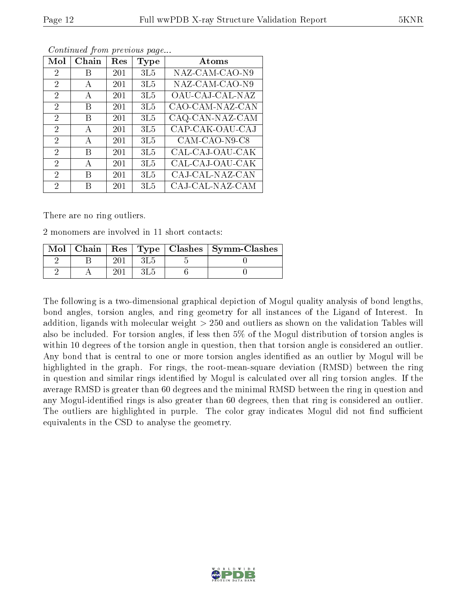| Mol            | Chain | Res | Type | Atoms           |
|----------------|-------|-----|------|-----------------|
| $\overline{2}$ | B     | 201 | 3L5  | NAZ-CAM-CAO-N9  |
| $\overline{2}$ | А     | 201 | 3L5  | NAZ-CAM-CAO-N9  |
| $\overline{2}$ | A     | 201 | 3L5  | OAU-CAJ-CAL-NAZ |
| $\overline{2}$ | В     | 201 | 3L5  | CAO-CAM-NAZ-CAN |
| $\overline{2}$ | В     | 201 | 3L5  | CAQ-CAN-NAZ-CAM |
| $\overline{2}$ | А     | 201 | 3L5  | CAP-CAK-OAU-CAJ |
| 2              | A     | 201 | 3L5  | CAM-CAO-N9-C8   |
| 2              | В     | 201 | 3L5  | CAL-CAJ-OAU-CAK |
| 2              | A     | 201 | 3L5  | CAL-CAJ-OAU-CAK |
| 2              | В     | 201 | 3L5  | CAJ-CAL-NAZ-CAN |
| $\overline{2}$ | В     | 201 | 3L5  | CAJ-CAL-NAZ-CAM |

Continued from previous page...

There are no ring outliers.

2 monomers are involved in 11 short contacts:

| Mol |  |  | Chain   Res   Type   Clashes   Symm-Clashes |
|-----|--|--|---------------------------------------------|
|     |  |  |                                             |
|     |  |  |                                             |

The following is a two-dimensional graphical depiction of Mogul quality analysis of bond lengths, bond angles, torsion angles, and ring geometry for all instances of the Ligand of Interest. In addition, ligands with molecular weight > 250 and outliers as shown on the validation Tables will also be included. For torsion angles, if less then 5% of the Mogul distribution of torsion angles is within 10 degrees of the torsion angle in question, then that torsion angle is considered an outlier. Any bond that is central to one or more torsion angles identified as an outlier by Mogul will be highlighted in the graph. For rings, the root-mean-square deviation (RMSD) between the ring in question and similar rings identified by Mogul is calculated over all ring torsion angles. If the average RMSD is greater than 60 degrees and the minimal RMSD between the ring in question and any Mogul-identified rings is also greater than 60 degrees, then that ring is considered an outlier. The outliers are highlighted in purple. The color gray indicates Mogul did not find sufficient equivalents in the CSD to analyse the geometry.

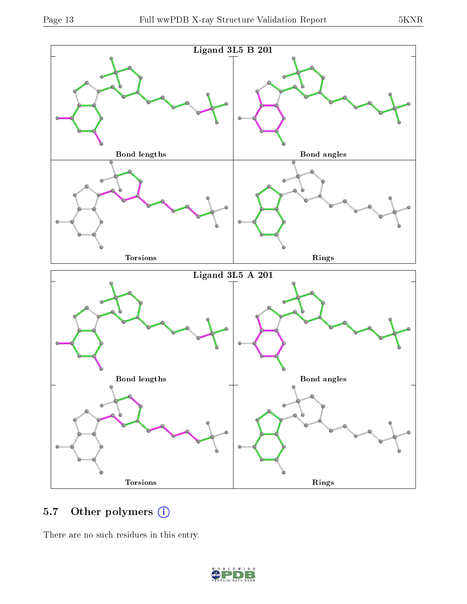

### 5.7 [O](https://www.wwpdb.org/validation/2017/XrayValidationReportHelp#nonstandard_residues_and_ligands)ther polymers (i)

There are no such residues in this entry.

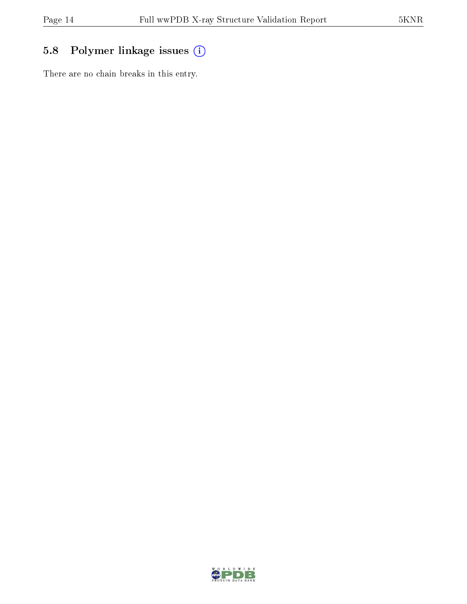## 5.8 Polymer linkage issues (i)

There are no chain breaks in this entry.

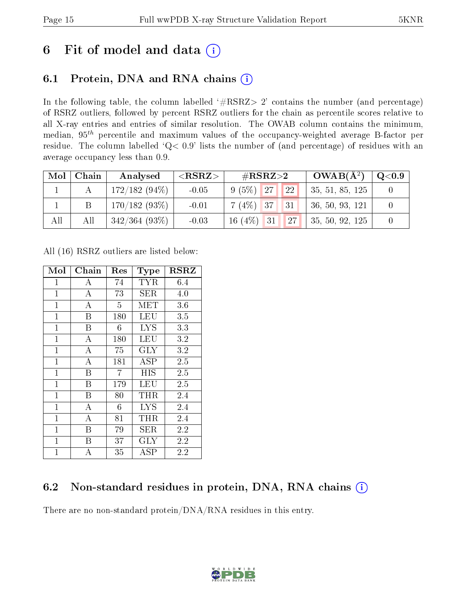## 6 Fit of model and data  $(i)$

### 6.1 Protein, DNA and RNA chains  $(i)$

In the following table, the column labelled  $#RSRZ> 2'$  contains the number (and percentage) of RSRZ outliers, followed by percent RSRZ outliers for the chain as percentile scores relative to all X-ray entries and entries of similar resolution. The OWAB column contains the minimum, median,  $95<sup>th</sup>$  percentile and maximum values of the occupancy-weighted average B-factor per residue. The column labelled ' $Q< 0.9$ ' lists the number of (and percentage) of residues with an average occupancy less than 0.9.

| Mol | Chain | Analysed         | ${ <\hspace{-1.5pt}{\mathrm{RSRZ}} \hspace{-1.5pt}>}$ | $\#\text{RSRZ}{>}2$                        | $OWAB(A^2)$      | $\mathrm{Q}{<}0.9$ |
|-----|-------|------------------|-------------------------------------------------------|--------------------------------------------|------------------|--------------------|
|     |       | $172/182(94\%)$  | $-0.05$                                               | 22 <br>$9(5\%)$ 27                         | 35, 51, 85, 125  |                    |
|     |       | $170/182(93\%)$  | $-0.01$                                               | $7(4\%)$ 37<br> 31                         | 36, 50, 93, 121  |                    |
| All | All   | $342/364$ (93\%) | $-0.03$                                               | $16(4\%)$ 31<br>$\parallel$ 27 $\parallel$ | 135, 50, 92, 125 |                    |

All (16) RSRZ outliers are listed below:

| Mol          | ${\bf Chain}$      | $\operatorname{Res}% \left( \mathcal{N}\right) \equiv\operatorname{Res}(\mathcal{N}_{0})\cap\mathcal{N}_{1}$ | <b>Type</b> | $_{\rm RSRZ}$ |
|--------------|--------------------|--------------------------------------------------------------------------------------------------------------|-------------|---------------|
| $\mathbf{1}$ | A                  | 74                                                                                                           | TYR         | 6.4           |
| $\mathbf{1}$ | $\overline{A}$     | 73                                                                                                           | <b>SER</b>  | 4.0           |
| $\mathbf{1}$ | $\overline{\rm A}$ | $\overline{5}$                                                                                               | MET         | 3.6           |
| $\mathbf{1}$ | Β                  | 180                                                                                                          | <b>LEU</b>  | 3.5           |
| $\mathbf{1}$ | B                  | 6                                                                                                            | <b>LYS</b>  | 3.3           |
| $\mathbf{1}$ | $\overline{A}$     | 180                                                                                                          | LEU         | 3.2           |
| $\mathbf{1}$ | $\overline{A}$     | 75                                                                                                           | <b>GLY</b>  | 3.2           |
| $\mathbf{1}$ | $\boldsymbol{A}$   | 181                                                                                                          | $\rm{ASP}$  | $2.5\,$       |
| $\mathbf{1}$ | B                  | $\overline{7}$                                                                                               | <b>HIS</b>  | 2.5           |
| $\mathbf{1}$ | B                  | 179                                                                                                          | LEU         | 2.5           |
| $\mathbf{1}$ | B                  | 80                                                                                                           | THR         | 2.4           |
| $\mathbf{1}$ | $\overline{A}$     | 6                                                                                                            | <b>LYS</b>  | 2.4           |
| $\mathbf{1}$ | А                  | 81                                                                                                           | THR         | 2.4           |
| $\mathbf 1$  | Β                  | 79                                                                                                           | <b>SER</b>  | 2.2           |
| $\mathbf{1}$ | B                  | 37                                                                                                           | <b>GLY</b>  | 2.2           |
| $\mathbf{1}$ | A                  | 35                                                                                                           | $\rm{ASP}$  | 2.2           |

### 6.2 Non-standard residues in protein, DNA, RNA chains  $(i)$

There are no non-standard protein/DNA/RNA residues in this entry.

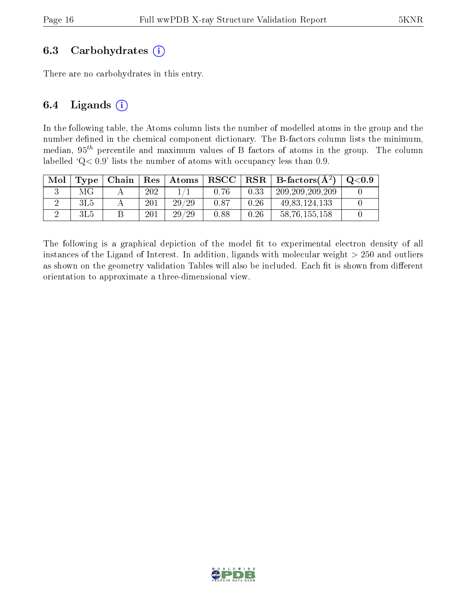#### 6.3 Carbohydrates  $(i)$

There are no carbohydrates in this entry.

#### 6.4 Ligands  $(i)$

In the following table, the Atoms column lists the number of modelled atoms in the group and the number defined in the chemical component dictionary. The B-factors column lists the minimum, median,  $95<sup>th</sup>$  percentile and maximum values of B factors of atoms in the group. The column labelled  $Q < 0.9$ ' lists the number of atoms with occupancy less than 0.9.

| Mol | Type | Chain | $\operatorname{Res}$ | $\mid$ Atoms | $\bf RSCC$ |      | $\perp$ RSR $\parallel$ B-factors( $\rm \AA^2)$ ) | $\mid$ Q $<$ 0.9 |
|-----|------|-------|----------------------|--------------|------------|------|---------------------------------------------------|------------------|
|     | МG   |       | 202                  |              | 0.76       | 0.33 | 209, 209, 209, 209                                |                  |
|     | 3L5  |       | 201                  | 29/29        | 0.87       | 0.26 | 49, 83, 124, 133                                  |                  |
|     | 3L5  |       | 201                  | 29/29        | 0.88       | 0.26 | 58, 76, 155, 158                                  |                  |

The following is a graphical depiction of the model fit to experimental electron density of all instances of the Ligand of Interest. In addition, ligands with molecular weight  $> 250$  and outliers as shown on the geometry validation Tables will also be included. Each fit is shown from different orientation to approximate a three-dimensional view.

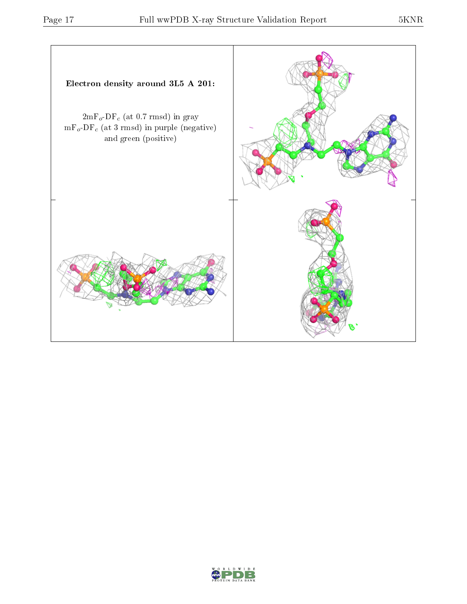